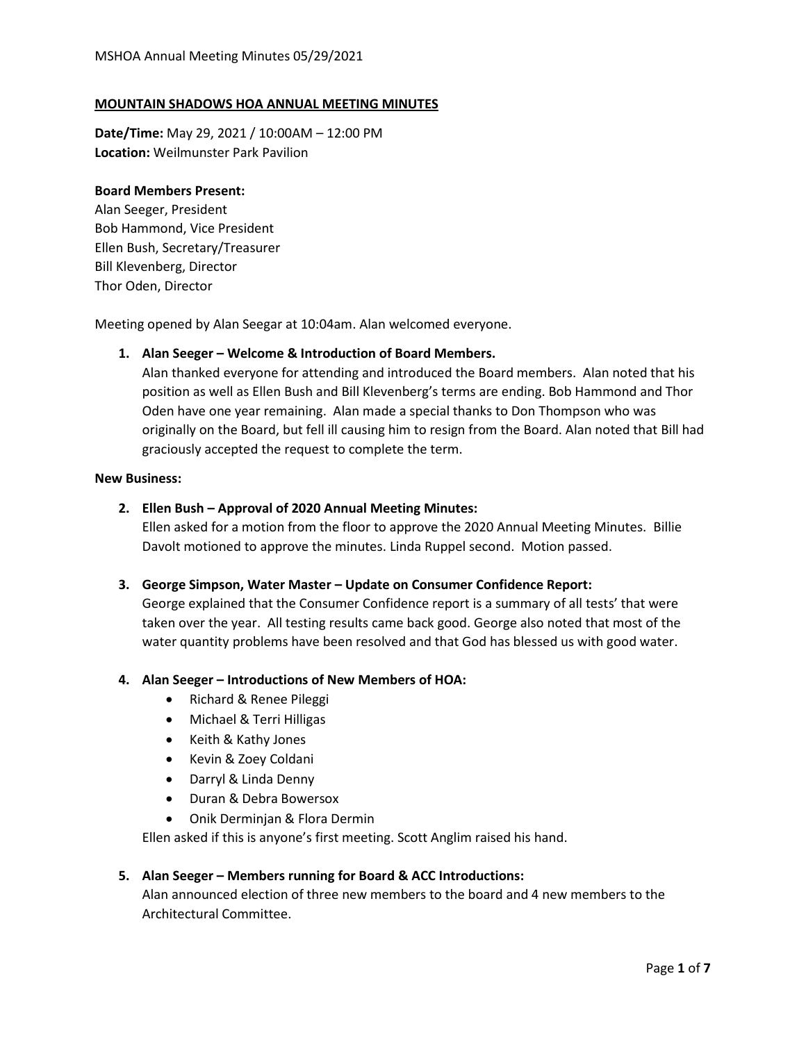### **MOUNTAIN SHADOWS HOA ANNUAL MEETING MINUTES**

**Date/Time:** May 29, 2021 / 10:00AM – 12:00 PM **Location:** Weilmunster Park Pavilion

### **Board Members Present:**

Alan Seeger, President Bob Hammond, Vice President Ellen Bush, Secretary/Treasurer Bill Klevenberg, Director Thor Oden, Director

Meeting opened by Alan Seegar at 10:04am. Alan welcomed everyone.

#### **1. Alan Seeger – Welcome & Introduction of Board Members.**

Alan thanked everyone for attending and introduced the Board members. Alan noted that his position as well as Ellen Bush and Bill Klevenberg's terms are ending. Bob Hammond and Thor Oden have one year remaining. Alan made a special thanks to Don Thompson who was originally on the Board, but fell ill causing him to resign from the Board. Alan noted that Bill had graciously accepted the request to complete the term.

### **New Business:**

#### **2. Ellen Bush – Approval of 2020 Annual Meeting Minutes:**

Ellen asked for a motion from the floor to approve the 2020 Annual Meeting Minutes. Billie Davolt motioned to approve the minutes. Linda Ruppel second. Motion passed.

#### **3. George Simpson, Water Master – Update on Consumer Confidence Report:**

George explained that the Consumer Confidence report is a summary of all tests' that were taken over the year. All testing results came back good. George also noted that most of the water quantity problems have been resolved and that God has blessed us with good water.

#### **4. Alan Seeger – Introductions of New Members of HOA:**

- Richard & Renee Pileggi
- Michael & Terri Hilligas
- Keith & Kathy Jones
- Kevin & Zoey Coldani
- Darryl & Linda Denny
- Duran & Debra Bowersox
- Onik Derminjan & Flora Dermin

Ellen asked if this is anyone's first meeting. Scott Anglim raised his hand.

#### **5. Alan Seeger – Members running for Board & ACC Introductions:**

Alan announced election of three new members to the board and 4 new members to the Architectural Committee.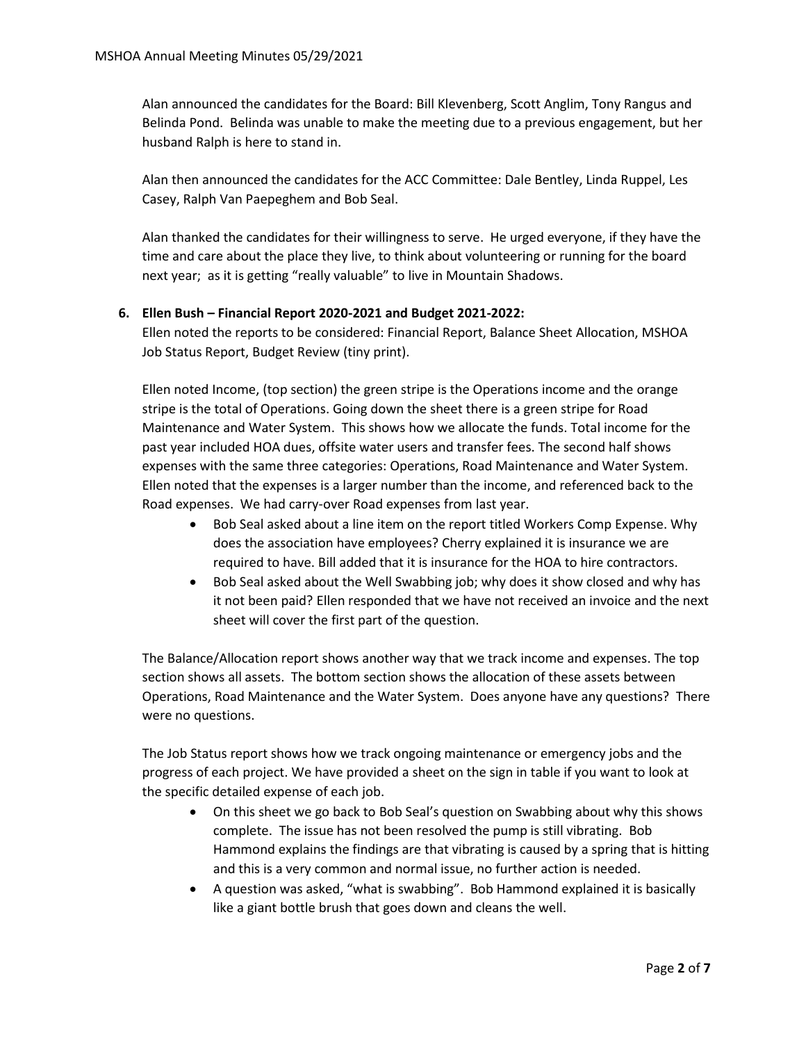Alan announced the candidates for the Board: Bill Klevenberg, Scott Anglim, Tony Rangus and Belinda Pond. Belinda was unable to make the meeting due to a previous engagement, but her husband Ralph is here to stand in.

Alan then announced the candidates for the ACC Committee: Dale Bentley, Linda Ruppel, Les Casey, Ralph Van Paepeghem and Bob Seal.

Alan thanked the candidates for their willingness to serve. He urged everyone, if they have the time and care about the place they live, to think about volunteering or running for the board next year; as it is getting "really valuable" to live in Mountain Shadows.

# **6. Ellen Bush – Financial Report 2020-2021 and Budget 2021-2022:**

Ellen noted the reports to be considered: Financial Report, Balance Sheet Allocation, MSHOA Job Status Report, Budget Review (tiny print).

Ellen noted Income, (top section) the green stripe is the Operations income and the orange stripe is the total of Operations. Going down the sheet there is a green stripe for Road Maintenance and Water System. This shows how we allocate the funds. Total income for the past year included HOA dues, offsite water users and transfer fees. The second half shows expenses with the same three categories: Operations, Road Maintenance and Water System. Ellen noted that the expenses is a larger number than the income, and referenced back to the Road expenses. We had carry-over Road expenses from last year.

- Bob Seal asked about a line item on the report titled Workers Comp Expense. Why does the association have employees? Cherry explained it is insurance we are required to have. Bill added that it is insurance for the HOA to hire contractors.
- Bob Seal asked about the Well Swabbing job; why does it show closed and why has it not been paid? Ellen responded that we have not received an invoice and the next sheet will cover the first part of the question.

The Balance/Allocation report shows another way that we track income and expenses. The top section shows all assets. The bottom section shows the allocation of these assets between Operations, Road Maintenance and the Water System. Does anyone have any questions? There were no questions.

The Job Status report shows how we track ongoing maintenance or emergency jobs and the progress of each project. We have provided a sheet on the sign in table if you want to look at the specific detailed expense of each job.

- On this sheet we go back to Bob Seal's question on Swabbing about why this shows complete. The issue has not been resolved the pump is still vibrating. Bob Hammond explains the findings are that vibrating is caused by a spring that is hitting and this is a very common and normal issue, no further action is needed.
- A question was asked, "what is swabbing". Bob Hammond explained it is basically like a giant bottle brush that goes down and cleans the well.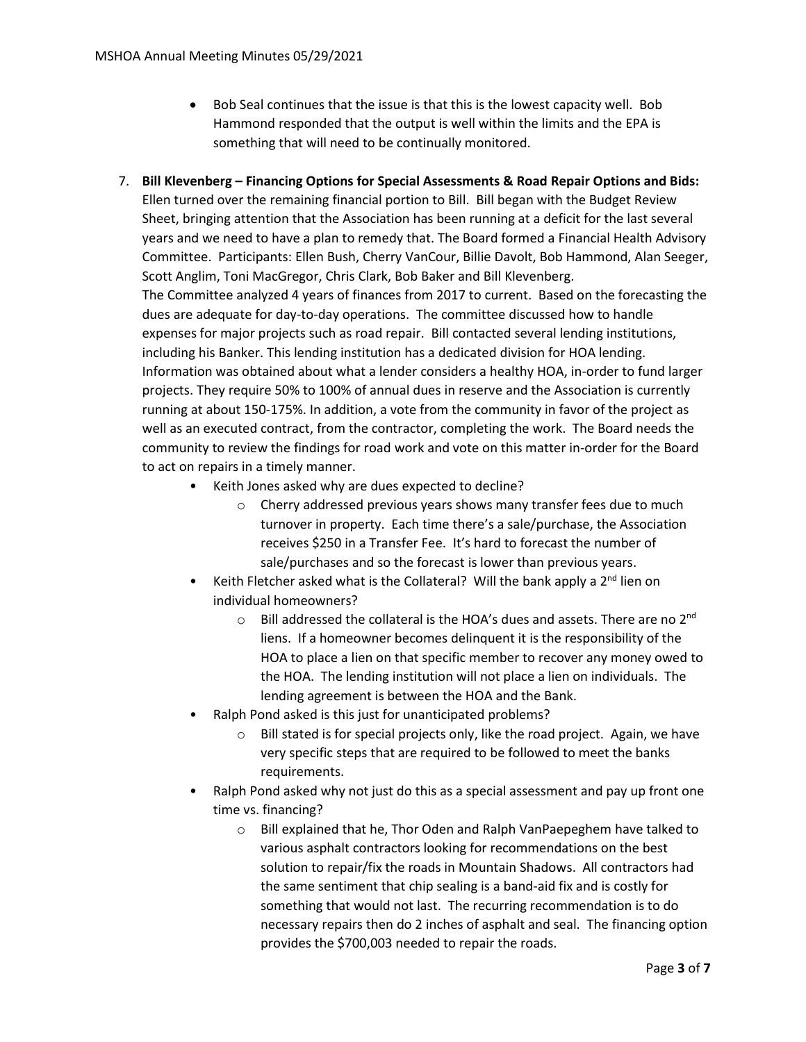- Bob Seal continues that the issue is that this is the lowest capacity well. Bob Hammond responded that the output is well within the limits and the EPA is something that will need to be continually monitored.
- 7. **Bill Klevenberg – Financing Options for Special Assessments & Road Repair Options and Bids:**

Ellen turned over the remaining financial portion to Bill. Bill began with the Budget Review Sheet, bringing attention that the Association has been running at a deficit for the last several years and we need to have a plan to remedy that. The Board formed a Financial Health Advisory Committee. Participants: Ellen Bush, Cherry VanCour, Billie Davolt, Bob Hammond, Alan Seeger, Scott Anglim, Toni MacGregor, Chris Clark, Bob Baker and Bill Klevenberg.

The Committee analyzed 4 years of finances from 2017 to current. Based on the forecasting the dues are adequate for day-to-day operations. The committee discussed how to handle expenses for major projects such as road repair. Bill contacted several lending institutions, including his Banker. This lending institution has a dedicated division for HOA lending. Information was obtained about what a lender considers a healthy HOA, in-order to fund larger projects. They require 50% to 100% of annual dues in reserve and the Association is currently running at about 150-175%. In addition, a vote from the community in favor of the project as well as an executed contract, from the contractor, completing the work. The Board needs the community to review the findings for road work and vote on this matter in-order for the Board to act on repairs in a timely manner.

- Keith Jones asked why are dues expected to decline?
	- o Cherry addressed previous years shows many transfer fees due to much turnover in property. Each time there's a sale/purchase, the Association receives \$250 in a Transfer Fee. It's hard to forecast the number of sale/purchases and so the forecast is lower than previous years.
- Keith Fletcher asked what is the Collateral? Will the bank apply a  $2^{nd}$  lien on individual homeowners?
	- $\circ$  Bill addressed the collateral is the HOA's dues and assets. There are no 2<sup>nd</sup> liens. If a homeowner becomes delinquent it is the responsibility of the HOA to place a lien on that specific member to recover any money owed to the HOA. The lending institution will not place a lien on individuals. The lending agreement is between the HOA and the Bank.
- Ralph Pond asked is this just for unanticipated problems?
	- o Bill stated is for special projects only, like the road project. Again, we have very specific steps that are required to be followed to meet the banks requirements.
- Ralph Pond asked why not just do this as a special assessment and pay up front one time vs. financing?
	- o Bill explained that he, Thor Oden and Ralph VanPaepeghem have talked to various asphalt contractors looking for recommendations on the best solution to repair/fix the roads in Mountain Shadows. All contractors had the same sentiment that chip sealing is a band-aid fix and is costly for something that would not last. The recurring recommendation is to do necessary repairs then do 2 inches of asphalt and seal. The financing option provides the \$700,003 needed to repair the roads.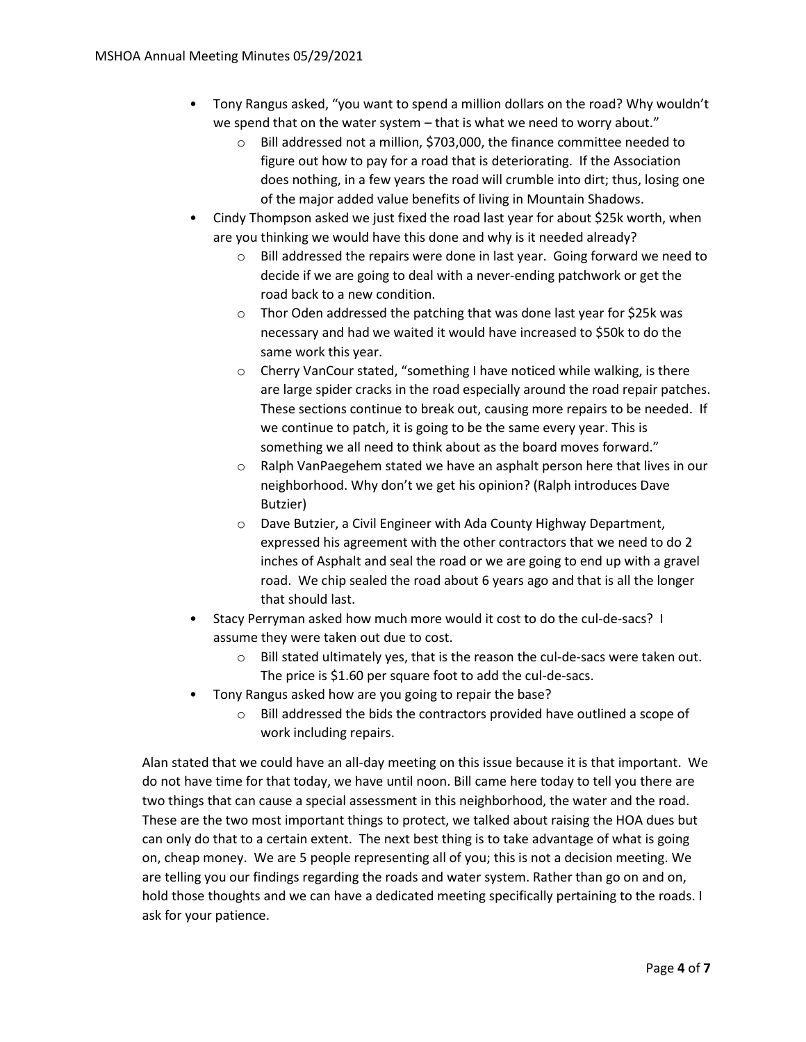- Tony Rangus asked, "you want to spend a million dollars on the road? Why wouldn't we spend that on the water system – that is what we need to worry about."
	- o Bill addressed not a million, \$703,000, the finance committee needed to figure out how to pay for a road that is deteriorating. If the Association does nothing, in a few years the road will crumble into dirt; thus, losing one of the major added value benefits of living in Mountain Shadows.
- Cindy Thompson asked we just fixed the road last year for about \$25k worth, when are you thinking we would have this done and why is it needed already?
	- o Bill addressed the repairs were done in last year. Going forward we need to decide if we are going to deal with a never-ending patchwork or get the road back to a new condition.
	- o Thor Oden addressed the patching that was done last year for \$25k was necessary and had we waited it would have increased to \$50k to do the same work this year.
	- o Cherry VanCour stated, "something I have noticed while walking, is there are large spider cracks in the road especially around the road repair patches. These sections continue to break out, causing more repairs to be needed. If we continue to patch, it is going to be the same every year. This is something we all need to think about as the board moves forward."
	- $\circ$  Ralph VanPaegehem stated we have an asphalt person here that lives in our neighborhood. Why don't we get his opinion? (Ralph introduces Dave Butzier)
	- o Dave Butzier, a Civil Engineer with Ada County Highway Department, expressed his agreement with the other contractors that we need to do 2 inches of Asphalt and seal the road or we are going to end up with a gravel road. We chip sealed the road about 6 years ago and that is all the longer that should last.
- Stacy Perryman asked how much more would it cost to do the cul-de-sacs? I assume they were taken out due to cost.
	- o Bill stated ultimately yes, that is the reason the cul-de-sacs were taken out. The price is \$1.60 per square foot to add the cul-de-sacs.
- Tony Rangus asked how are you going to repair the base?
	- o Bill addressed the bids the contractors provided have outlined a scope of work including repairs.

Alan stated that we could have an all-day meeting on this issue because it is that important. We do not have time for that today, we have until noon. Bill came here today to tell you there are two things that can cause a special assessment in this neighborhood, the water and the road. These are the two most important things to protect, we talked about raising the HOA dues but can only do that to a certain extent. The next best thing is to take advantage of what is going on, cheap money. We are 5 people representing all of you; this is not a decision meeting. We are telling you our findings regarding the roads and water system. Rather than go on and on, hold those thoughts and we can have a dedicated meeting specifically pertaining to the roads. I ask for your patience.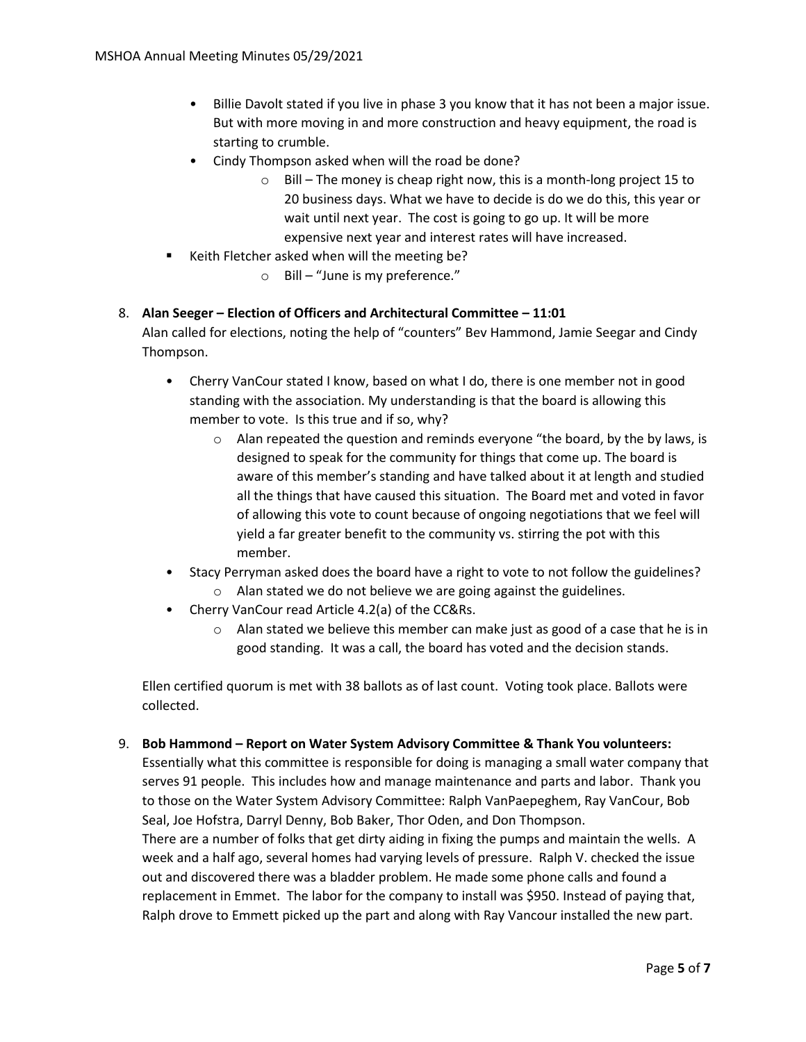- Billie Davolt stated if you live in phase 3 you know that it has not been a major issue. But with more moving in and more construction and heavy equipment, the road is starting to crumble.
- Cindy Thompson asked when will the road be done?
	- o Bill The money is cheap right now, this is a month-long project 15 to 20 business days. What we have to decide is do we do this, this year or wait until next year. The cost is going to go up. It will be more expensive next year and interest rates will have increased.
- Keith Fletcher asked when will the meeting be?
	- o Bill "June is my preference."

# 8. **Alan Seeger – Election of Officers and Architectural Committee – 11:01**

Alan called for elections, noting the help of "counters" Bev Hammond, Jamie Seegar and Cindy Thompson.

- Cherry VanCour stated I know, based on what I do, there is one member not in good standing with the association. My understanding is that the board is allowing this member to vote. Is this true and if so, why?
	- $\circ$  Alan repeated the question and reminds everyone "the board, by the by laws, is designed to speak for the community for things that come up. The board is aware of this member's standing and have talked about it at length and studied all the things that have caused this situation. The Board met and voted in favor of allowing this vote to count because of ongoing negotiations that we feel will yield a far greater benefit to the community vs. stirring the pot with this member.
- Stacy Perryman asked does the board have a right to vote to not follow the guidelines?
	- o Alan stated we do not believe we are going against the guidelines.
- Cherry VanCour read Article 4.2(a) of the CC&Rs.
	- $\circ$  Alan stated we believe this member can make just as good of a case that he is in good standing. It was a call, the board has voted and the decision stands.

Ellen certified quorum is met with 38 ballots as of last count. Voting took place. Ballots were collected.

# 9. **Bob Hammond – Report on Water System Advisory Committee & Thank You volunteers:**

Essentially what this committee is responsible for doing is managing a small water company that serves 91 people. This includes how and manage maintenance and parts and labor. Thank you to those on the Water System Advisory Committee: Ralph VanPaepeghem, Ray VanCour, Bob Seal, Joe Hofstra, Darryl Denny, Bob Baker, Thor Oden, and Don Thompson.

There are a number of folks that get dirty aiding in fixing the pumps and maintain the wells. A week and a half ago, several homes had varying levels of pressure. Ralph V. checked the issue out and discovered there was a bladder problem. He made some phone calls and found a replacement in Emmet. The labor for the company to install was \$950. Instead of paying that, Ralph drove to Emmett picked up the part and along with Ray Vancour installed the new part.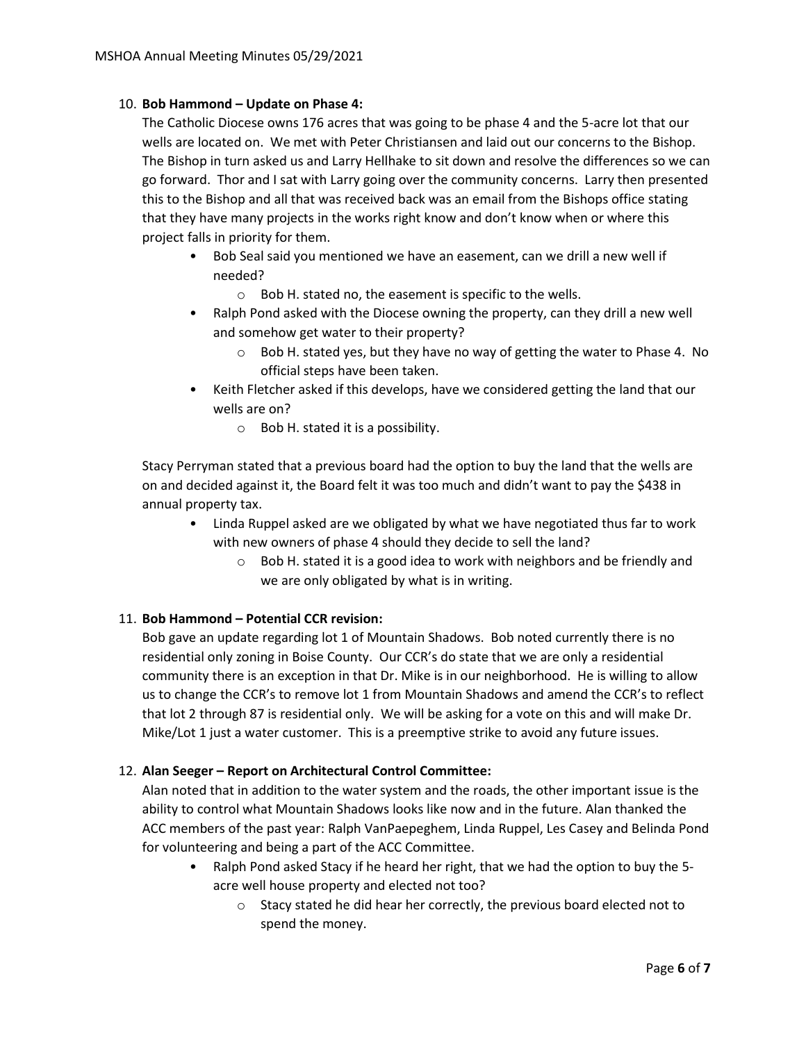### 10. **Bob Hammond – Update on Phase 4:**

The Catholic Diocese owns 176 acres that was going to be phase 4 and the 5-acre lot that our wells are located on. We met with Peter Christiansen and laid out our concerns to the Bishop. The Bishop in turn asked us and Larry Hellhake to sit down and resolve the differences so we can go forward. Thor and I sat with Larry going over the community concerns. Larry then presented this to the Bishop and all that was received back was an email from the Bishops office stating that they have many projects in the works right know and don't know when or where this project falls in priority for them.

- Bob Seal said you mentioned we have an easement, can we drill a new well if needed?
	- o Bob H. stated no, the easement is specific to the wells.
- Ralph Pond asked with the Diocese owning the property, can they drill a new well and somehow get water to their property?
	- o Bob H. stated yes, but they have no way of getting the water to Phase 4. No official steps have been taken.
- Keith Fletcher asked if this develops, have we considered getting the land that our wells are on?
	- o Bob H. stated it is a possibility.

Stacy Perryman stated that a previous board had the option to buy the land that the wells are on and decided against it, the Board felt it was too much and didn't want to pay the \$438 in annual property tax.

- Linda Ruppel asked are we obligated by what we have negotiated thus far to work with new owners of phase 4 should they decide to sell the land?
	- o Bob H. stated it is a good idea to work with neighbors and be friendly and we are only obligated by what is in writing.

# 11. **Bob Hammond – Potential CCR revision:**

Bob gave an update regarding lot 1 of Mountain Shadows. Bob noted currently there is no residential only zoning in Boise County. Our CCR's do state that we are only a residential community there is an exception in that Dr. Mike is in our neighborhood. He is willing to allow us to change the CCR's to remove lot 1 from Mountain Shadows and amend the CCR's to reflect that lot 2 through 87 is residential only. We will be asking for a vote on this and will make Dr. Mike/Lot 1 just a water customer. This is a preemptive strike to avoid any future issues.

# 12. **Alan Seeger – Report on Architectural Control Committee:**

Alan noted that in addition to the water system and the roads, the other important issue is the ability to control what Mountain Shadows looks like now and in the future. Alan thanked the ACC members of the past year: Ralph VanPaepeghem, Linda Ruppel, Les Casey and Belinda Pond for volunteering and being a part of the ACC Committee.

- Ralph Pond asked Stacy if he heard her right, that we had the option to buy the 5 acre well house property and elected not too?
	- o Stacy stated he did hear her correctly, the previous board elected not to spend the money.